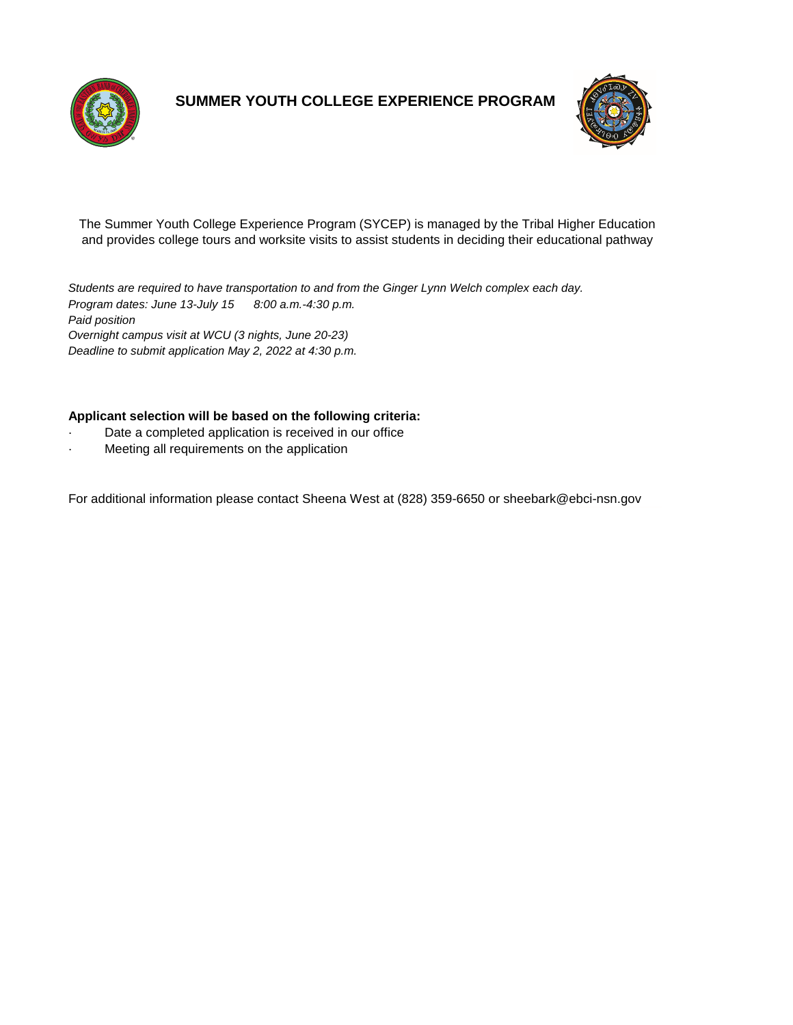



The Summer Youth College Experience Program (SYCEP) is managed by the Tribal Higher Education and provides college tours and worksite visits to assist students in deciding their educational pathway

*Program dates: June 13-July 15 8:00 a.m.-4:30 p.m. Paid position Overnight campus visit at WCU (3 nights, June 20-23) Students are required to have transportation to and from the Ginger Lynn Welch complex each day.*

*Deadline to submit application May 2, 2022 at 4:30 p.m.*

#### **Applicant selection will be based on the following criteria:**

- Date a completed application is received in our office
- Meeting all requirements on the application

For additional information please contact Sheena West at (828) 359-6650 or sheebark@ebci-nsn.gov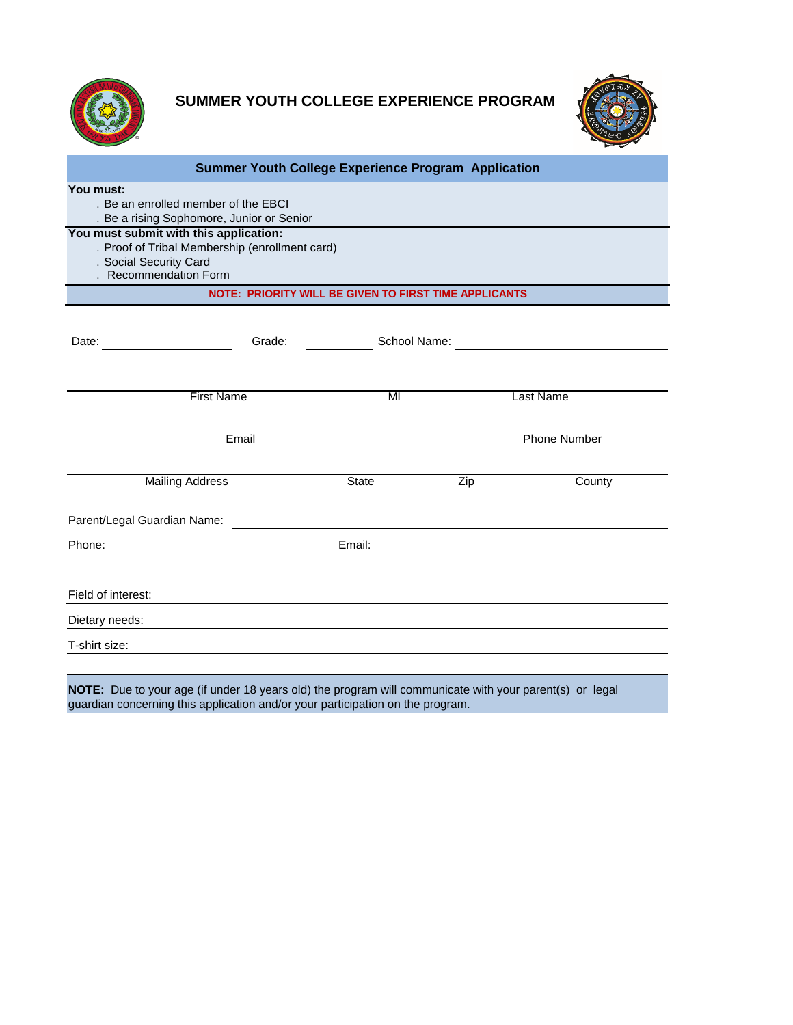



| <b>Summer Youth College Experience Program Application</b>                                                                                  |        |              |                               |           |
|---------------------------------------------------------------------------------------------------------------------------------------------|--------|--------------|-------------------------------|-----------|
| You must:<br>. Be an enrolled member of the EBCI<br>. Be a rising Sophomore, Junior or Senior                                               |        |              |                               |           |
| You must submit with this application:<br>. Proof of Tribal Membership (enrollment card)<br>. Social Security Card<br>. Recommendation Form |        |              |                               |           |
| NOTE: PRIORITY WILL BE GIVEN TO FIRST TIME APPLICANTS                                                                                       |        |              |                               |           |
| Date:                                                                                                                                       | Grade: |              | School Name: The School Name: |           |
| <b>First Name</b>                                                                                                                           |        | MI           |                               | Last Name |
| Email                                                                                                                                       |        |              | <b>Phone Number</b>           |           |
| <b>Mailing Address</b>                                                                                                                      |        | <b>State</b> | Zip                           | County    |
| Parent/Legal Guardian Name:                                                                                                                 |        |              |                               |           |
| Phone:                                                                                                                                      |        | Email:       |                               |           |
| Field of interest:                                                                                                                          |        |              |                               |           |
| Dietary needs:                                                                                                                              |        |              |                               |           |
| T-shirt size:                                                                                                                               |        |              |                               |           |
| $I$ OTE. Due to voir one (if under 10 years ald) the neargan will communicate with your negative), or lead                                  |        |              |                               |           |

**NOTE:** Due to your age (if under 18 years old) the program will communicate with your parent(s) or legal guardian concerning this application and/or your participation on the program.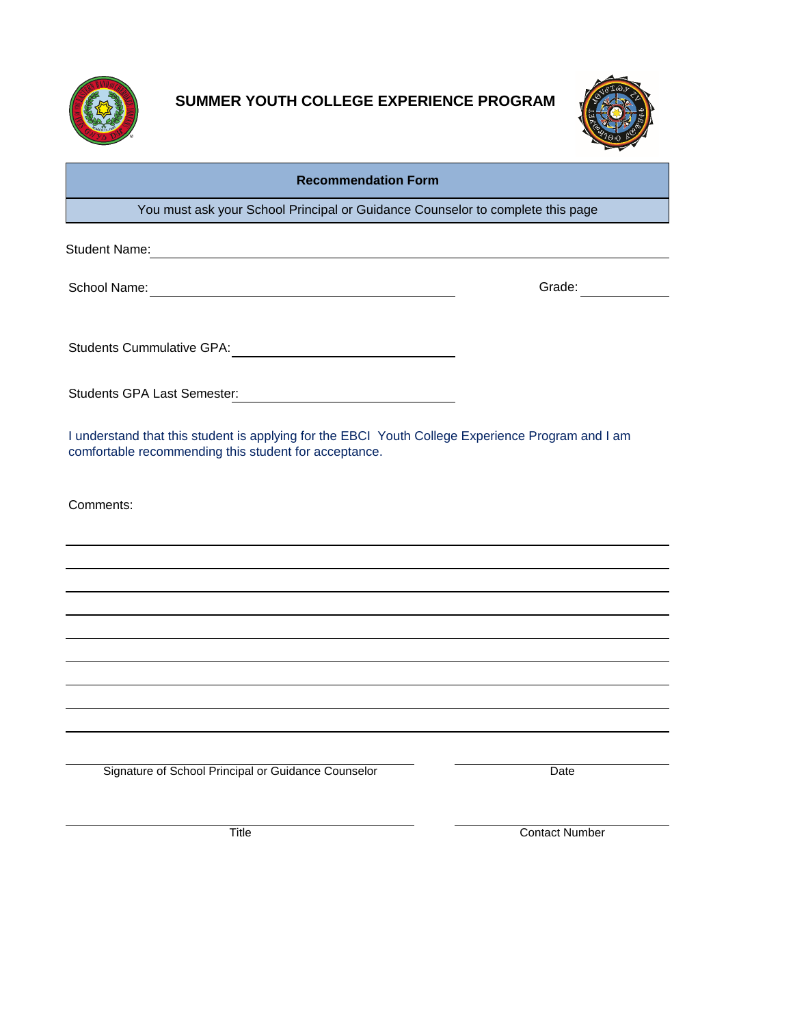



### **Recommendation Form**

You must ask your School Principal or Guidance Counselor to complete this page

Student Name: 2008 - 2008 - 2008 - 2010 - 2010 - 2010 - 2011 - 2012 - 2014 - 2016 - 2017 - 2018 - 2019 - 2019 - 2019 - 2019 - 2019 - 2019 - 2019 - 2019 - 2019 - 2019 - 2019 - 2019 - 2019 - 2019 - 2019 - 2019 - 2019 - 2019

School Name: Contract of Contract of Contract of Contract of Contract of Contract of Contract of Contract of Contract of Contract of Contract of Contract of Contract of Contract of Contract of Contract of Contract of Contr

Students Cummulative GPA:

Students GPA Last Semester:

I understand that this student is applying for the EBCI Youth College Experience Program and I am comfortable recommending this student for acceptance.

Comments:

Signature of School Principal or Guidance Counselor Date

Title Contact Number